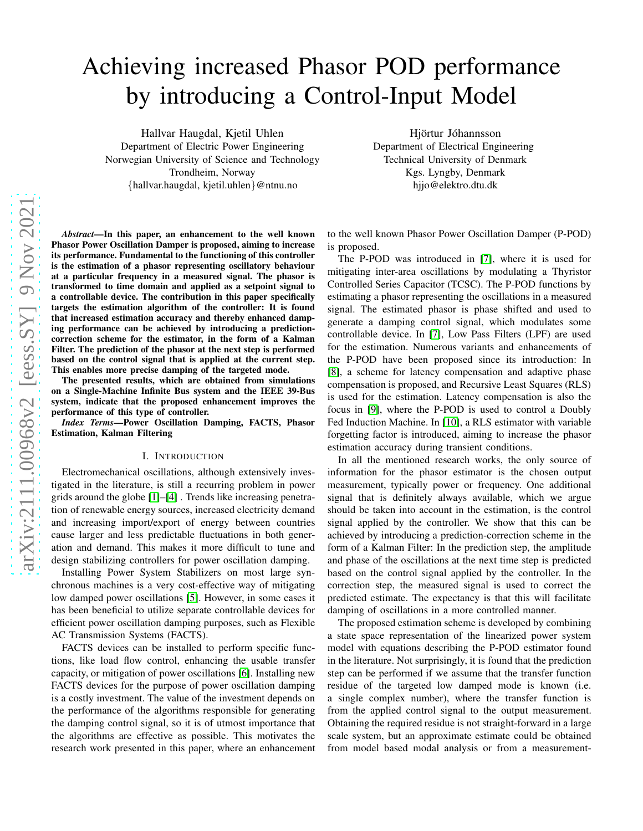# Achieving increased Phasor POD performance by introducing a Control-Input Model

Hallvar Haugdal, Kjetil Uhlen Department of Electric Power Engineering Norwegian University of Science and Technology Trondheim, Norway {hallvar.haugdal, kjetil.uhlen}@ntnu.no

Hjörtur Jóhannsson Department of Electrical Engineering Technical University of Denmark Kgs. Lyngby, Denmark hjjo@elektro.dtu.dk

*Abstract*—In this paper, an enhancement to the well known Phasor Power Oscillation Damper is proposed, aiming to increase its performance. Fundamental to the functioning of this controller is the estimation of a phasor representing oscillatory behaviour at a particular frequency in a measured signal. The phasor is transformed to time domain and applied as a setpoint signal to a controllable device. The contribution in this paper specifically targets the estimation algorithm of the controller: It is found that increased estimation accuracy and thereby enhanced damping performance can be achieved by introducing a predictioncorrection scheme for the estimator, in the form of a Kalman Filter. The prediction of the phasor at the next step is performed based on the control signal that is applied at the current step. This enables more precise damping of the targeted mode.

The presented results, which are obtained from simulations on a Single-Machine Infinite Bus system and the IEEE 39-Bus system, indicate that the proposed enhancement improves the performance of this type of controller.

*Index Terms*—Power Oscillation Damping, FACTS, Phasor Estimation, Kalman Filtering

#### I. INTRODUCTION

Electromechanical oscillations, although extensively investigated in the literature, is still a recurring problem in power grids around the globe [\[1\]](#page-6-0)–[\[4\]](#page-6-1) . Trends like increasing penetration of renewable energy sources, increased electricity demand and increasing import/export of energy between countries cause larger and less predictable fluctuations in both generation and demand. This makes it more difficult to tune and design stabilizing controllers for power oscillation damping.

Installing Power System Stabilizers on most large synchronous machines is a very cost-effective way of mitigating low damped power oscillations [\[5\]](#page-6-2). However, in some cases it has been beneficial to utilize separate controllable devices for efficient power oscillation damping purposes, such as Flexible AC Transmission Systems (FACTS).

FACTS devices can be installed to perform specific functions, like load flow control, enhancing the usable transfer capacity, or mitigation of power oscillations [\[6\]](#page-6-3). Installing new FACTS devices for the purpose of power oscillation damping is a costly investment. The value of the investment depends on the performance of the algorithms responsible for generating the damping control signal, so it is of utmost importance that the algorithms are effective as possible. This motivates the research work presented in this paper, where an enhancement

to the well known Phasor Power Oscillation Damper (P-POD) is proposed.

The P-POD was introduced in [\[7\]](#page-6-4), where it is used for mitigating inter-area oscillations by modulating a Thyristor Controlled Series Capacitor (TCSC). The P-POD functions by estimating a phasor representing the oscillations in a measured signal. The estimated phasor is phase shifted and used to generate a damping control signal, which modulates some controllable device. In [\[7\]](#page-6-4), Low Pass Filters (LPF) are used for the estimation. Numerous variants and enhancements of the P-POD have been proposed since its introduction: In [\[8\]](#page-6-5), a scheme for latency compensation and adaptive phase compensation is proposed, and Recursive Least Squares (RLS) is used for the estimation. Latency compensation is also the focus in [\[9\]](#page-6-6), where the P-POD is used to control a Doubly Fed Induction Machine. In [\[10\]](#page-6-7), a RLS estimator with variable forgetting factor is introduced, aiming to increase the phasor estimation accuracy during transient conditions.

In all the mentioned research works, the only source of information for the phasor estimator is the chosen output measurement, typically power or frequency. One additional signal that is definitely always available, which we argue should be taken into account in the estimation, is the control signal applied by the controller. We show that this can be achieved by introducing a prediction-correction scheme in the form of a Kalman Filter: In the prediction step, the amplitude and phase of the oscillations at the next time step is predicted based on the control signal applied by the controller. In the correction step, the measured signal is used to correct the predicted estimate. The expectancy is that this will facilitate damping of oscillations in a more controlled manner.

The proposed estimation scheme is developed by combining a state space representation of the linearized power system model with equations describing the P-POD estimator found in the literature. Not surprisingly, it is found that the prediction step can be performed if we assume that the transfer function residue of the targeted low damped mode is known (i.e. a single complex number), where the transfer function is from the applied control signal to the output measurement. Obtaining the required residue is not straight-forward in a large scale system, but an approximate estimate could be obtained from model based modal analysis or from a measurement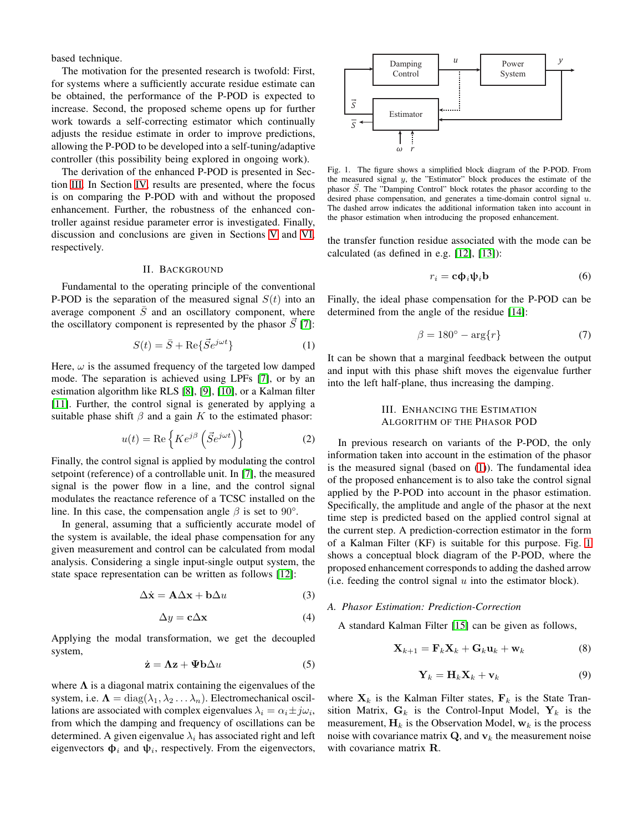based technique.

The motivation for the presented research is twofold: First, for systems where a sufficiently accurate residue estimate can be obtained, the performance of the P-POD is expected to increase. Second, the proposed scheme opens up for further work towards a self-correcting estimator which continually adjusts the residue estimate in order to improve predictions, allowing the P-POD to be developed into a self-tuning/adaptive controller (this possibility being explored in ongoing work).

The derivation of the enhanced P-POD is presented in Section [III.](#page-1-0) In Section [IV,](#page-3-0) results are presented, where the focus is on comparing the P-POD with and without the proposed enhancement. Further, the robustness of the enhanced controller against residue parameter error is investigated. Finally, discussion and conclusions are given in Sections [V](#page-6-8) and [VI,](#page-6-9) respectively.

#### II. BACKGROUND

Fundamental to the operating principle of the conventional P-POD is the separation of the measured signal  $S(t)$  into an average component  $\overline{S}$  and an oscillatory component, where the oscillatory component is represented by the phasor  $\vec{S}$  [\[7\]](#page-6-4):

<span id="page-1-1"></span>
$$
S(t) = \bar{S} + \text{Re}\{\vec{S}e^{j\omega t}\}\tag{1}
$$

Here,  $\omega$  is the assumed frequency of the targeted low damped mode. The separation is achieved using LPFs [\[7\]](#page-6-4), or by an estimation algorithm like RLS [\[8\]](#page-6-5), [\[9\]](#page-6-6), [\[10\]](#page-6-7), or a Kalman filter [\[11\]](#page-6-10). Further, the control signal is generated by applying a suitable phase shift  $\beta$  and a gain K to the estimated phasor:

$$
u(t) = \text{Re}\left\{ K e^{j\beta} \left( \vec{S} e^{j\omega t} \right) \right\} \tag{2}
$$

Finally, the control signal is applied by modulating the control setpoint (reference) of a controllable unit. In [\[7\]](#page-6-4), the measured signal is the power flow in a line, and the control signal modulates the reactance reference of a TCSC installed on the line. In this case, the compensation angle  $\beta$  is set to 90°.

In general, assuming that a sufficiently accurate model of the system is available, the ideal phase compensation for any given measurement and control can be calculated from modal analysis. Considering a single input-single output system, the state space representation can be written as follows [\[12\]](#page-6-11):

<span id="page-1-3"></span>
$$
\Delta \dot{\mathbf{x}} = \mathbf{A} \Delta \mathbf{x} + \mathbf{b} \Delta u \tag{3}
$$

<span id="page-1-4"></span>
$$
\Delta y = \mathbf{c} \Delta \mathbf{x} \tag{4}
$$

Applying the modal transformation, we get the decoupled system,

<span id="page-1-5"></span>
$$
\dot{\mathbf{z}} = \mathbf{\Lambda}\mathbf{z} + \mathbf{\Psi}\mathbf{b}\Delta u \tag{5}
$$

where  $\Lambda$  is a diagonal matrix containing the eigenvalues of the system, i.e.  $\Lambda = \text{diag}(\lambda_1, \lambda_2 \dots \lambda_n)$ . Electromechanical oscillations are associated with complex eigenvalues  $\lambda_i = \alpha_i \pm j\omega_i$ , from which the damping and frequency of oscillations can be determined. A given eigenvalue  $\lambda_i$  has associated right and left eigenvectors  $\Phi_i$  and  $\psi_i$ , respectively. From the eigenvectors,



<span id="page-1-2"></span>Fig. 1. The figure shows a simplified block diagram of the P-POD. From the measured signal  $y$ , the "Estimator" block produces the estimate of the phasor  $\vec{S}$ . The "Damping Control" block rotates the phasor according to the desired phase compensation, and generates a time-domain control signal  $u$ . The dashed arrow indicates the additional information taken into account in the phasor estimation when introducing the proposed enhancement.

the transfer function residue associated with the mode can be calculated (as defined in e.g. [\[12\]](#page-6-11), [\[13\]](#page-6-12)):

$$
r_i = \mathbf{c} \mathbf{\Phi}_i \mathbf{\psi}_i \mathbf{b} \tag{6}
$$

Finally, the ideal phase compensation for the P-POD can be determined from the angle of the residue [\[14\]](#page-6-13):

<span id="page-1-7"></span>
$$
\beta = 180^{\circ} - \arg\{r\} \tag{7}
$$

<span id="page-1-0"></span>It can be shown that a marginal feedback between the output and input with this phase shift moves the eigenvalue further into the left half-plane, thus increasing the damping.

# III. ENHANCING THE ESTIMATION ALGORITHM OF THE PHASOR POD

In previous research on variants of the P-POD, the only information taken into account in the estimation of the phasor is the measured signal (based on [\(1\)](#page-1-1)). The fundamental idea of the proposed enhancement is to also take the control signal applied by the P-POD into account in the phasor estimation. Specifically, the amplitude and angle of the phasor at the next time step is predicted based on the applied control signal at the current step. A prediction-correction estimator in the form of a Kalman Filter (KF) is suitable for this purpose. Fig. [1](#page-1-2) shows a conceptual block diagram of the P-POD, where the proposed enhancement corresponds to adding the dashed arrow (i.e. feeding the control signal  $u$  into the estimator block).

## *A. Phasor Estimation: Prediction-Correction*

A standard Kalman Filter [\[15\]](#page-6-14) can be given as follows,

<span id="page-1-6"></span>
$$
\mathbf{X}_{k+1} = \mathbf{F}_k \mathbf{X}_k + \mathbf{G}_k \mathbf{u}_k + \mathbf{w}_k \tag{8}
$$

$$
\mathbf{Y}_k = \mathbf{H}_k \mathbf{X}_k + \mathbf{v}_k \tag{9}
$$

where  $X_k$  is the Kalman Filter states,  $F_k$  is the State Transition Matrix,  $G_k$  is the Control-Input Model,  $Y_k$  is the measurement,  $H_k$  is the Observation Model,  $w_k$  is the process noise with covariance matrix  $\mathbf{Q}$ , and  $\mathbf{v}_k$  the measurement noise with covariance matrix **R**.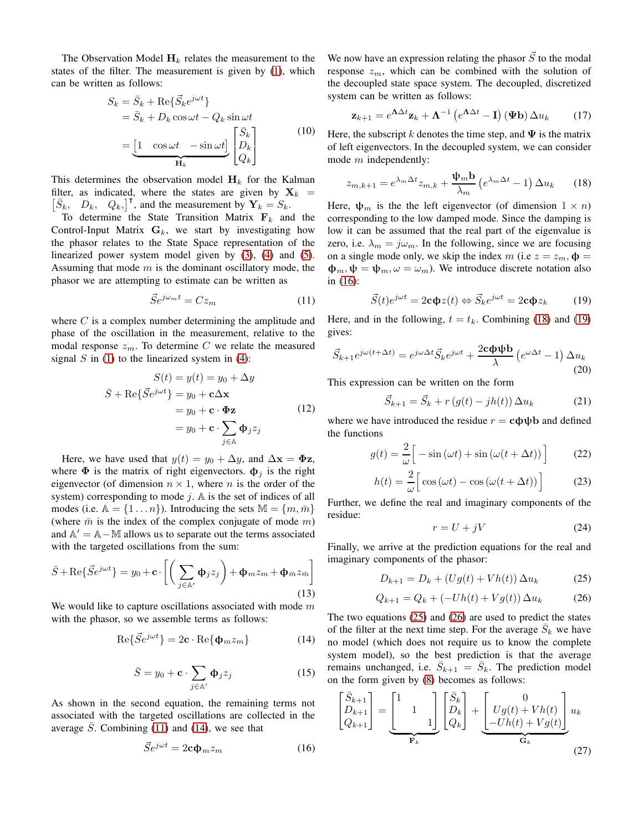The Observation Model  $H_k$  relates the measurement to the states of the filter. The measurement is given by [\(1\)](#page-1-1), which can be written as follows:

$$
S_k = \bar{S}_k + \text{Re}\{\vec{S}_k e^{j\omega t}\}\
$$
  
=  $\bar{S}_k + D_k \cos \omega t - Q_k \sin \omega t$   
=  $\underbrace{[1 \cos \omega t \ - \sin \omega t]}_{\mathbf{H}_k} \begin{bmatrix} \bar{S}_k \\ D_k \\ Q_k \end{bmatrix}$  (10)

<span id="page-2-7"></span>This determines the observation model  $H_k$  for the Kalman  $\begin{bmatrix} \bar{S}_k, & D_k, & Q_k \end{bmatrix}^{\mathsf{T}}$ , and the measurement by  $\mathbf{Y}_k = S_k$ . filter, as indicated, where the states are given by  $X_k =$ 

To determine the State Transition Matrix  $F_k$  and the Control-Input Matrix  $G_k$ , we start by investigating how the phasor relates to the State Space representation of the linearized power system model given by [\(3\)](#page-1-3), [\(4\)](#page-1-4) and [\(5\)](#page-1-5). Assuming that mode  $m$  is the dominant oscillatory mode, the phasor we are attempting to estimate can be written as

<span id="page-2-0"></span>
$$
\vec{S}e^{j\omega_m t} = Cz_m \tag{11}
$$

where  $C$  is a complex number determining the amplitude and phase of the oscillation in the measurement, relative to the modal response  $z_m$ . To determine C we relate the measured signal  $S$  in [\(1\)](#page-1-1) to the linearized system in [\(4\)](#page-1-4):

$$
S(t) = y(t) = y_0 + \Delta y
$$

$$
\bar{S} + \text{Re}\{\bar{S}e^{j\omega t}\} = y_0 + \mathbf{c}\Delta \mathbf{x}
$$

$$
= y_0 + \mathbf{c} \cdot \mathbf{\Phi} \mathbf{z}
$$
(12)

$$
= y_0 + \mathbf{c} \cdot \sum_{j \in \mathbb{A}} \mathbf{\Phi}_j z_j
$$

Here, we have used that  $y(t) = y_0 + \Delta y$ , and  $\Delta x = \Phi z$ , where  $\Phi$  is the matrix of right eigenvectors.  $\Phi_j$  is the right eigenvector (of dimension  $n \times 1$ , where *n* is the order of the system) corresponding to mode  $j$ . A is the set of indices of all modes (i.e.  $\mathbb{A} = \{1 \dots n\}$ ). Introducing the sets  $\mathbb{M} = \{m, \overline{m}\}\$ (where  $\bar{m}$  is the index of the complex conjugate of mode m) and  $\mathbb{A}' = \mathbb{A} - \mathbb{M}$  allows us to separate out the terms associated with the targeted oscillations from the sum:

$$
\bar{S} + \text{Re}\{\vec{S}e^{j\omega t}\} = y_0 + \mathbf{c} \cdot \left[ \left( \sum_{j \in \mathbb{A}'} \Phi_j z_j \right) + \Phi_m z_m + \Phi_{\bar{m}} z_{\bar{m}} \right]
$$
\n(13)

We would like to capture oscillations associated with mode  $m$ with the phasor, so we assemble terms as follows:

<span id="page-2-1"></span>
$$
\text{Re}\{\vec{S}e^{j\omega t}\} = 2\mathbf{c} \cdot \text{Re}\{\mathbf{\Phi}_m z_m\} \tag{14}
$$

$$
\bar{S} = y_0 + \mathbf{c} \cdot \sum_{j \in \mathbb{A}'} \Phi_j z_j \tag{15}
$$

As shown in the second equation, the remaining terms not associated with the targeted oscillations are collected in the average  $S$ . Combining [\(11\)](#page-2-0) and [\(14\)](#page-2-1), we see that

<span id="page-2-2"></span>
$$
\vec{S}e^{j\omega t} = 2\mathbf{c}\Phi_m z_m \tag{16}
$$

We now have an expression relating the phasor  $\vec{S}$  to the modal response  $z_m$ , which can be combined with the solution of the decoupled state space system. The decoupled, discretized system can be written as follows:

$$
\mathbf{z}_{k+1} = e^{\mathbf{\Lambda} \Delta t} \mathbf{z}_k + \mathbf{\Lambda}^{-1} \left( e^{\mathbf{\Lambda} \Delta t} - \mathbf{I} \right) (\mathbf{\Psi} \mathbf{b}) \Delta u_k \tag{17}
$$

Here, the subscript k denotes the time step, and  $\Psi$  is the matrix of left eigenvectors. In the decoupled system, we can consider mode *m* independently:

<span id="page-2-3"></span>
$$
z_{m,k+1} = e^{\lambda_m \Delta t} z_{m,k} + \frac{\Psi_m \mathbf{b}}{\lambda_m} \left( e^{\lambda_m \Delta t} - 1 \right) \Delta u_k \qquad (18)
$$

Here,  $\psi_m$  is the the left eigenvector (of dimension  $1 \times n$ ) corresponding to the low damped mode. Since the damping is low it can be assumed that the real part of the eigenvalue is zero, i.e.  $\lambda_m = j\omega_m$ . In the following, since we are focusing on a single mode only, we skip the index m (i.e  $z = z_m$ ,  $\Phi =$  $\Phi_m, \Psi = \Psi_m, \omega = \omega_m$ ). We introduce discrete notation also in [\(16\)](#page-2-2):

<span id="page-2-4"></span>
$$
\vec{S}(t)e^{j\omega t} = 2\mathbf{c}\mathbf{\Phi}z(t) \Leftrightarrow \vec{S}_k e^{j\omega t} = 2\mathbf{c}\mathbf{\Phi}z_k \tag{19}
$$

Here, and in the following,  $t = t_k$ . Combining [\(18\)](#page-2-3) and [\(19\)](#page-2-4) gives:

$$
\vec{S}_{k+1}e^{j\omega(t+\Delta t)} = e^{j\omega\Delta t}\vec{S}_k e^{j\omega t} + \frac{2c\Phi\Phi b}{\lambda} \left(e^{\omega\Delta t} - 1\right)\Delta u_k
$$
\n(20)

This expression can be written on the form

$$
\vec{S}_{k+1} = \vec{S}_k + r\left(g(t) - jh(t)\right)\Delta u_k\tag{21}
$$

where we have introduced the residue  $r = c\phi\psi$  and defined the functions

$$
g(t) = \frac{2}{\omega} \Big[ -\sin(\omega t) + \sin(\omega(t + \Delta t)) \Big] \tag{22}
$$

$$
h(t) = \frac{2}{\omega} \Big[ \cos(\omega t) - \cos(\omega (t + \Delta t)) \Big] \tag{23}
$$

Further, we define the real and imaginary components of the residue:

$$
r = U + jV \tag{24}
$$

Finally, we arrive at the prediction equations for the real and imaginary components of the phasor:

<span id="page-2-5"></span>
$$
D_{k+1} = D_k + (Ug(t) + Vh(t)) \Delta u_k \tag{25}
$$

<span id="page-2-6"></span>
$$
Q_{k+1} = Q_k + (-Uh(t) + Vg(t)) \Delta u_k \tag{26}
$$

The two equations [\(25\)](#page-2-5) and [\(26\)](#page-2-6) are used to predict the states of the filter at the next time step. For the average  $\overline{S}_k$  we have no model (which does not require us to know the complete system model), so the best prediction is that the average remains unchanged, i.e.  $\overline{S}_{k+1} = \overline{S}_k$ . The prediction model on the form given by [\(8\)](#page-1-6) becomes as follows:

<span id="page-2-8"></span>
$$
\begin{bmatrix} \bar{S}_{k+1} \\ D_{k+1} \\ Q_{k+1} \end{bmatrix} = \underbrace{\begin{bmatrix} 1 & 1 & 1 \\ & 1 & 1 \\ & & 1 \end{bmatrix}}_{\mathbf{F}_k} \underbrace{\begin{bmatrix} \bar{S}_k \\ D_k \\ Q_k \end{bmatrix}}_{+} + \underbrace{\begin{bmatrix} 0 & 0 \\ Ug(t) + Vh(t) \\ -Uh(t) + Vg(t) \end{bmatrix}}_{\mathbf{G}_k} u_k
$$
\n(27)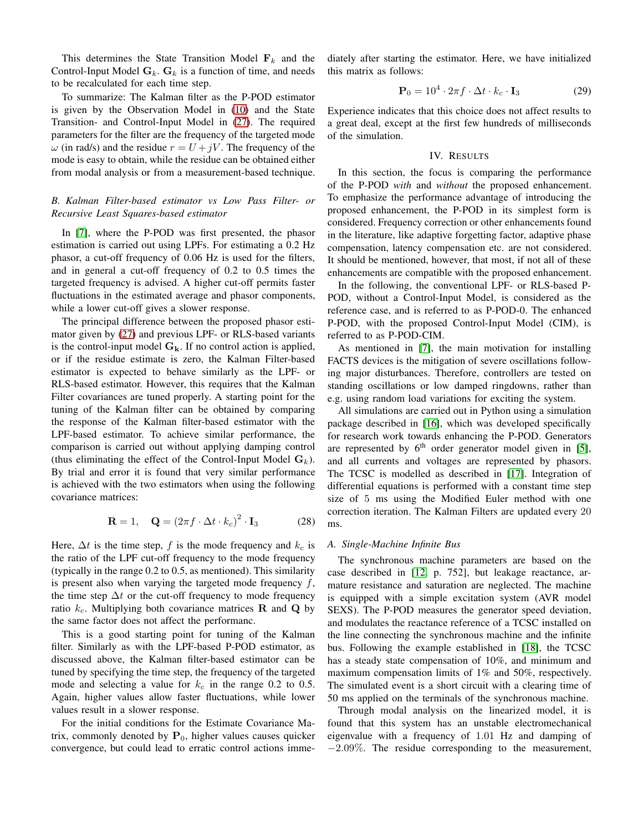This determines the State Transition Model  $F_k$  and the Control-Input Model  $G_k$ .  $G_k$  is a function of time, and needs to be recalculated for each time step.

To summarize: The Kalman filter as the P-POD estimator is given by the Observation Model in [\(10\)](#page-2-7) and the State Transition- and Control-Input Model in [\(27\)](#page-2-8). The required parameters for the filter are the frequency of the targeted mode  $\omega$  (in rad/s) and the residue  $r = U + jV$ . The frequency of the mode is easy to obtain, while the residue can be obtained either from modal analysis or from a measurement-based technique.

## *B. Kalman Filter-based estimator vs Low Pass Filter- or Recursive Least Squares-based estimator*

In [\[7\]](#page-6-4), where the P-POD was first presented, the phasor estimation is carried out using LPFs. For estimating a 0.2 Hz phasor, a cut-off frequency of 0.06 Hz is used for the filters, and in general a cut-off frequency of 0.2 to 0.5 times the targeted frequency is advised. A higher cut-off permits faster fluctuations in the estimated average and phasor components, while a lower cut-off gives a slower response.

The principal difference between the proposed phasor estimator given by [\(27\)](#page-2-8) and previous LPF- or RLS-based variants is the control-input model  $G_k$ . If no control action is applied, or if the residue estimate is zero, the Kalman Filter-based estimator is expected to behave similarly as the LPF- or RLS-based estimator. However, this requires that the Kalman Filter covariances are tuned properly. A starting point for the tuning of the Kalman filter can be obtained by comparing the response of the Kalman filter-based estimator with the LPF-based estimator. To achieve similar performance, the comparison is carried out without applying damping control (thus eliminating the effect of the Control-Input Model  $G_k$ ). By trial and error it is found that very similar performance is achieved with the two estimators when using the following covariance matrices:

$$
\mathbf{R} = 1, \quad \mathbf{Q} = (2\pi f \cdot \Delta t \cdot k_c)^2 \cdot \mathbf{I}_3 \tag{28}
$$

Here,  $\Delta t$  is the time step, f is the mode frequency and  $k_c$  is the ratio of the LPF cut-off frequency to the mode frequency (typically in the range 0.2 to 0.5, as mentioned). This similarity is present also when varying the targeted mode frequency  $f$ , the time step  $\Delta t$  or the cut-off frequency to mode frequency ratio  $k_c$ . Multiplying both covariance matrices **R** and **Q** by the same factor does not affect the performanc.

This is a good starting point for tuning of the Kalman filter. Similarly as with the LPF-based P-POD estimator, as discussed above, the Kalman filter-based estimator can be tuned by specifying the time step, the frequency of the targeted mode and selecting a value for  $k_c$  in the range 0.2 to 0.5. Again, higher values allow faster fluctuations, while lower values result in a slower response.

For the initial conditions for the Estimate Covariance Matrix, commonly denoted by  $P_0$ , higher values causes quicker convergence, but could lead to erratic control actions immediately after starting the estimator. Here, we have initialized this matrix as follows:

$$
\mathbf{P}_0 = 10^4 \cdot 2\pi f \cdot \Delta t \cdot k_c \cdot \mathbf{I}_3 \tag{29}
$$

<span id="page-3-0"></span>Experience indicates that this choice does not affect results to a great deal, except at the first few hundreds of milliseconds of the simulation.

# IV. RESULTS

In this section, the focus is comparing the performance of the P-POD *with* and *without* the proposed enhancement. To emphasize the performance advantage of introducing the proposed enhancement, the P-POD in its simplest form is considered. Frequency correction or other enhancements found in the literature, like adaptive forgetting factor, adaptive phase compensation, latency compensation etc. are not considered. It should be mentioned, however, that most, if not all of these enhancements are compatible with the proposed enhancement.

In the following, the conventional LPF- or RLS-based P-POD, without a Control-Input Model, is considered as the reference case, and is referred to as P-POD-0. The enhanced P-POD, with the proposed Control-Input Model (CIM), is referred to as P-POD-CIM.

As mentioned in [\[7\]](#page-6-4), the main motivation for installing FACTS devices is the mitigation of severe oscillations following major disturbances. Therefore, controllers are tested on standing oscillations or low damped ringdowns, rather than e.g. using random load variations for exciting the system.

All simulations are carried out in Python using a simulation package described in [\[16\]](#page-6-15), which was developed specifically for research work towards enhancing the P-POD. Generators are represented by  $6<sup>th</sup>$  order generator model given in [\[5\]](#page-6-2), and all currents and voltages are represented by phasors. The TCSC is modelled as described in [\[17\]](#page-6-16). Integration of differential equations is performed with a constant time step size of 5 ms using the Modified Euler method with one correction iteration. The Kalman Filters are updated every 20 ms.

### *A. Single-Machine Infinite Bus*

The synchronous machine parameters are based on the case described in [\[12,](#page-6-11) p. 752], but leakage reactance, armature resistance and saturation are neglected. The machine is equipped with a simple excitation system (AVR model SEXS). The P-POD measures the generator speed deviation, and modulates the reactance reference of a TCSC installed on the line connecting the synchronous machine and the infinite bus. Following the example established in [\[18\]](#page-6-17), the TCSC has a steady state compensation of 10%, and minimum and maximum compensation limits of 1% and 50%, respectively. The simulated event is a short circuit with a clearing time of 50 ms applied on the terminals of the synchronous machine.

Through modal analysis on the linearized model, it is found that this system has an unstable electromechanical eigenvalue with a frequency of 1.01 Hz and damping of −2.09%. The residue corresponding to the measurement,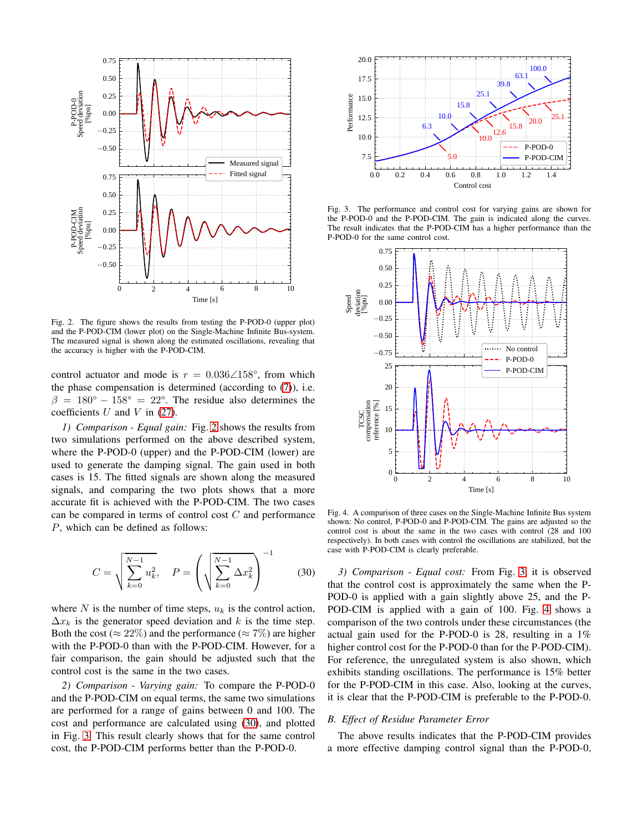

<span id="page-4-0"></span>Fig. 2. The figure shows the results from testing the P-POD-0 (upper plot) and the P-POD-CIM (lower plot) on the Single-Machine Infinite Bus-system. The measured signal is shown along the estimated oscillations, revealing that the accuracy is higher with the P-POD-CIM.

control actuator and mode is  $r = 0.036\angle 158^{\circ}$ , from which the phase compensation is determined (according to  $(7)$ ), i.e.  $\beta = 180^{\circ} - 158^{\circ} = 22^{\circ}$ . The residue also determines the coefficients  $U$  and  $V$  in [\(27\)](#page-2-8).

*1) Comparison - Equal gain:* Fig. [2](#page-4-0) shows the results from two simulations performed on the above described system, where the P-POD-0 (upper) and the P-POD-CIM (lower) are used to generate the damping signal. The gain used in both cases is 15. The fitted signals are shown along the measured signals, and comparing the two plots shows that a more accurate fit is achieved with the P-POD-CIM. The two cases can be compared in terms of control cost  $C$  and performance P, which can be defined as follows:

<span id="page-4-1"></span>
$$
C = \sqrt{\sum_{k=0}^{N-1} u_k^2}, \quad P = \left(\sqrt{\sum_{k=0}^{N-1} \Delta x_k^2}\right)^{-1}
$$
 (30)

where N is the number of time steps,  $u_k$  is the control action,  $\Delta x_k$  is the generator speed deviation and k is the time step. Both the cost ( $\approx 22\%$ ) and the performance ( $\approx 7\%$ ) are higher with the P-POD-0 than with the P-POD-CIM. However, for a fair comparison, the gain should be adjusted such that the control cost is the same in the two cases.

*2) Comparison - Varying gain:* To compare the P-POD-0 and the P-POD-CIM on equal terms, the same two simulations are performed for a range of gains between 0 and 100. The cost and performance are calculated using [\(30\)](#page-4-1), and plotted in Fig. [3.](#page-4-2) This result clearly shows that for the same control cost, the P-POD-CIM performs better than the P-POD-0.



<span id="page-4-2"></span>Fig. 3. The performance and control cost for varying gains are shown for the P-POD-0 and the P-POD-CIM. The gain is indicated along the curves. The result indicates that the P-POD-CIM has a higher performance than the P-POD-0 for the same control cost.



<span id="page-4-3"></span>Fig. 4. A comparison of three cases on the Single-Machine Infinite Bus system shown: No control, P-POD-0 and P-POD-CIM. The gains are adjusted so the control cost is about the same in the two cases with control (28 and 100 respectively). In both cases with control the oscillations are stabilized, but the case with P-POD-CIM is clearly preferable.

*3) Comparison - Equal cost:* From Fig. [3,](#page-4-2) it is observed that the control cost is approximately the same when the P-POD-0 is applied with a gain slightly above 25, and the P-POD-CIM is applied with a gain of 100. Fig. [4](#page-4-3) shows a comparison of the two controls under these circumstances (the actual gain used for the P-POD-0 is 28, resulting in a 1% higher control cost for the P-POD-0 than for the P-POD-CIM). For reference, the unregulated system is also shown, which exhibits standing oscillations. The performance is 15% better for the P-POD-CIM in this case. Also, looking at the curves, it is clear that the P-POD-CIM is preferable to the P-POD-0.

#### *B. Effect of Residue Parameter Error*

The above results indicates that the P-POD-CIM provides a more effective damping control signal than the P-POD-0,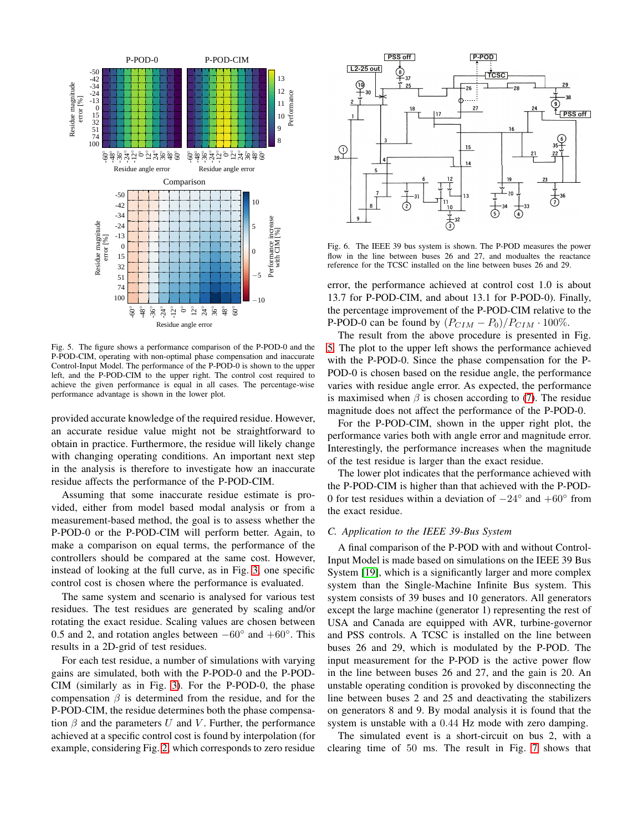

<span id="page-5-0"></span>Fig. 5. The figure shows a performance comparison of the P-POD-0 and the P-POD-CIM, operating with non-optimal phase compensation and inaccurate Control-Input Model. The performance of the P-POD-0 is shown to the upper left, and the P-POD-CIM to the upper right. The control cost required to achieve the given performance is equal in all cases. The percentage-wise performance advantage is shown in the lower plot.

provided accurate knowledge of the required residue. However, an accurate residue value might not be straightforward to obtain in practice. Furthermore, the residue will likely change with changing operating conditions. An important next step in the analysis is therefore to investigate how an inaccurate residue affects the performance of the P-POD-CIM.

Assuming that some inaccurate residue estimate is provided, either from model based modal analysis or from a measurement-based method, the goal is to assess whether the P-POD-0 or the P-POD-CIM will perform better. Again, to make a comparison on equal terms, the performance of the controllers should be compared at the same cost. However, instead of looking at the full curve, as in Fig. [3,](#page-4-2) one specific control cost is chosen where the performance is evaluated.

The same system and scenario is analysed for various test residues. The test residues are generated by scaling and/or rotating the exact residue. Scaling values are chosen between 0.5 and 2, and rotation angles between  $-60^\circ$  and  $+60^\circ$ . This results in a 2D-grid of test residues.

For each test residue, a number of simulations with varying gains are simulated, both with the P-POD-0 and the P-POD-CIM (similarly as in Fig. [3\)](#page-4-2). For the P-POD-0, the phase compensation  $\beta$  is determined from the residue, and for the P-POD-CIM, the residue determines both the phase compensation  $\beta$  and the parameters U and V. Further, the performance achieved at a specific control cost is found by interpolation (for example, considering Fig. [2,](#page-4-0) which corresponds to zero residue



Fig. 6. The IEEE 39 bus system is shown. The P-POD measures the power flow in the line between buses 26 and 27, and modualtes the reactance reference for the TCSC installed on the line between buses 26 and 29.

error, the performance achieved at control cost 1.0 is about 13.7 for P-POD-CIM, and about 13.1 for P-POD-0). Finally, the percentage improvement of the P-POD-CIM relative to the P-POD-0 can be found by  $(P_{CIM} - P_0)/P_{CIM} \cdot 100\%$ .

The result from the above procedure is presented in Fig. [5.](#page-5-0) The plot to the upper left shows the performance achieved with the P-POD-0. Since the phase compensation for the P-POD-0 is chosen based on the residue angle, the performance varies with residue angle error. As expected, the performance is maximised when  $\beta$  is chosen according to [\(7\)](#page-1-7). The residue magnitude does not affect the performance of the P-POD-0.

For the P-POD-CIM, shown in the upper right plot, the performance varies both with angle error and magnitude error. Interestingly, the performance increases when the magnitude of the test residue is larger than the exact residue.

The lower plot indicates that the performance achieved with the P-POD-CIM is higher than that achieved with the P-POD-0 for test residues within a deviation of  $-24^\circ$  and  $+60^\circ$  from the exact residue.

## *C. Application to the IEEE 39-Bus System*

A final comparison of the P-POD with and without Control-Input Model is made based on simulations on the IEEE 39 Bus System [\[19\]](#page-6-18), which is a significantly larger and more complex system than the Single-Machine Infinite Bus system. This system consists of 39 buses and 10 generators. All generators except the large machine (generator 1) representing the rest of USA and Canada are equipped with AVR, turbine-governor and PSS controls. A TCSC is installed on the line between buses 26 and 29, which is modulated by the P-POD. The input measurement for the P-POD is the active power flow in the line between buses 26 and 27, and the gain is 20. An unstable operating condition is provoked by disconnecting the line between buses 2 and 25 and deactivating the stabilizers on generators 8 and 9. By modal analysis it is found that the system is unstable with a 0.44 Hz mode with zero damping.

The simulated event is a short-circuit on bus 2, with a clearing time of 50 ms. The result in Fig. [7](#page-6-19) shows that